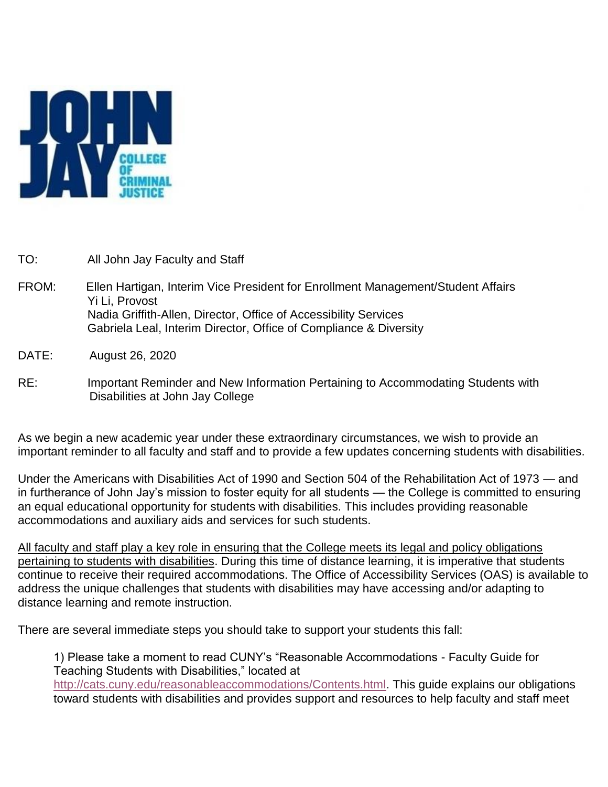

- TO: All John Jay Faculty and Staff
- FROM: Ellen Hartigan, Interim Vice President for Enrollment Management/Student Affairs Yi Li, Provost Nadia Griffith-Allen, Director, Office of Accessibility Services Gabriela Leal, Interim Director, Office of Compliance & Diversity
- DATE: August 26, 2020
- RE: Important Reminder and New Information Pertaining to Accommodating Students with Disabilities at John Jay College

As we begin a new academic year under these extraordinary circumstances, we wish to provide an important reminder to all faculty and staff and to provide a few updates concerning students with disabilities.

Under the Americans with Disabilities Act of 1990 and Section 504 of the Rehabilitation Act of 1973 — and in furtherance of John Jay's mission to foster equity for all students — the College is committed to ensuring an equal educational opportunity for students with disabilities. This includes providing reasonable accommodations and auxiliary aids and services for such students.

All faculty and staff play a key role in ensuring that the College meets its legal and policy obligations pertaining to students with disabilities. During this time of distance learning, it is imperative that students continue to receive their required accommodations. The Office of Accessibility Services (OAS) is available to address the unique challenges that students with disabilities may have accessing and/or adapting to distance learning and remote instruction.

There are several immediate steps you should take to support your students this fall:

1) Please take a moment to read CUNY's "Reasonable Accommodations - Faculty Guide for Teaching Students with Disabilities," located at [http://cats.cuny.edu/reasonableaccommodations/Contents.html.](http://cats.cuny.edu/reasonableaccommodations/Contents.html) This guide explains our obligations toward students with disabilities and provides support and resources to help faculty and staff meet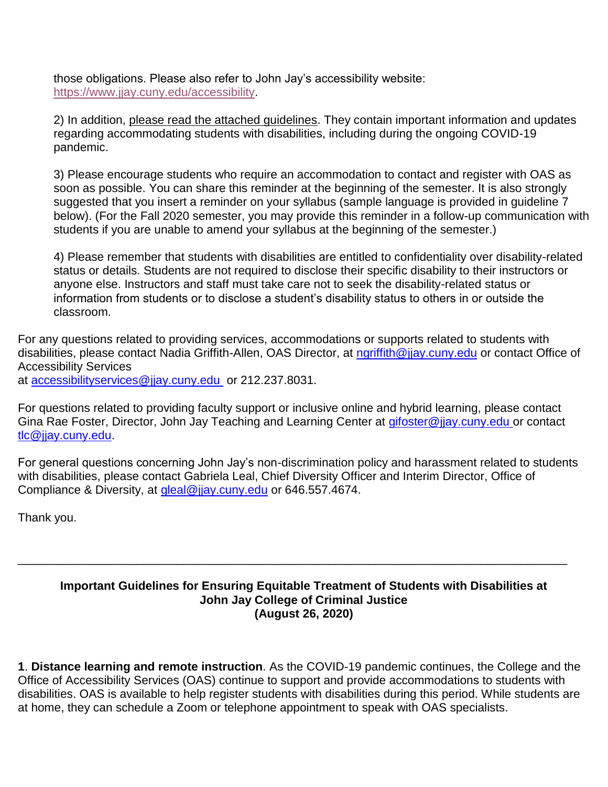those obligations. Please also refer to John Jay's accessibility website: [https://www.jjay.cuny.edu/accessibility.](https://www.jjay.cuny.edu/accessibility)

2) In addition, please read the attached guidelines. They contain important information and updates regarding accommodating students with disabilities, including during the ongoing COVID-19 pandemic.

3) Please encourage students who require an accommodation to contact and register with OAS as soon as possible. You can share this reminder at the beginning of the semester. It is also strongly suggested that you insert a reminder on your syllabus (sample language is provided in guideline 7 below). (For the Fall 2020 semester, you may provide this reminder in a follow-up communication with students if you are unable to amend your syllabus at the beginning of the semester.)

4) Please remember that students with disabilities are entitled to confidentiality over disability-related status or details. Students are not required to disclose their specific disability to their instructors or anyone else. Instructors and staff must take care not to seek the disability-related status or information from students or to disclose a student's disability status to others in or outside the classroom.

For any questions related to providing services, accommodations or supports related to students with disabilities, please contact Nadia Griffith-Allen, OAS Director, at [ngriffith@jjay.cuny.edu](mailto:ngriffith@jjay.cuny.edu) or contact Office of Accessibility Services

at [accessibilityservices@jjay.cuny.edu](mailto:accessibilityservices@jjay.cuny.edu) or 212.237.8031.

For questions related to providing faculty support or inclusive online and hybrid learning, please contact Gina Rae Foster, Director, John Jay Teaching and Learning Center at [gifoster@jjay.cuny.edu](mailto:gifoster@jjay.cuny.edu) or contact [tlc@jjay.cuny.edu.](mailto:tlc@jjay.cuny.edu)

For general questions concerning John Jay's non-discrimination policy and harassment related to students with disabilities, please contact Gabriela Leal, Chief Diversity Officer and Interim Director, Office of Compliance & Diversity, at [gleal@jjay.cuny.edu](mailto:gleal@jjay.cuny.edu) or 646.557.4674.

Thank you.

## **Important Guidelines for Ensuring Equitable Treatment of Students with Disabilities at John Jay College of Criminal Justice (August 26, 2020)**

\_\_\_\_\_\_\_\_\_\_\_\_\_\_\_\_\_\_\_\_\_\_\_\_\_\_\_\_\_\_\_\_\_\_\_\_\_\_\_\_\_\_\_\_\_\_\_\_\_\_\_\_\_\_\_\_\_\_\_\_\_\_\_\_\_\_\_\_\_\_\_\_\_\_\_\_\_\_\_\_\_\_\_

**1**. **Distance learning and remote instruction**. As the COVID-19 pandemic continues, the College and the Office of Accessibility Services (OAS) continue to support and provide accommodations to students with disabilities. OAS is available to help register students with disabilities during this period. While students are at home, they can schedule a Zoom or telephone appointment to speak with OAS specialists.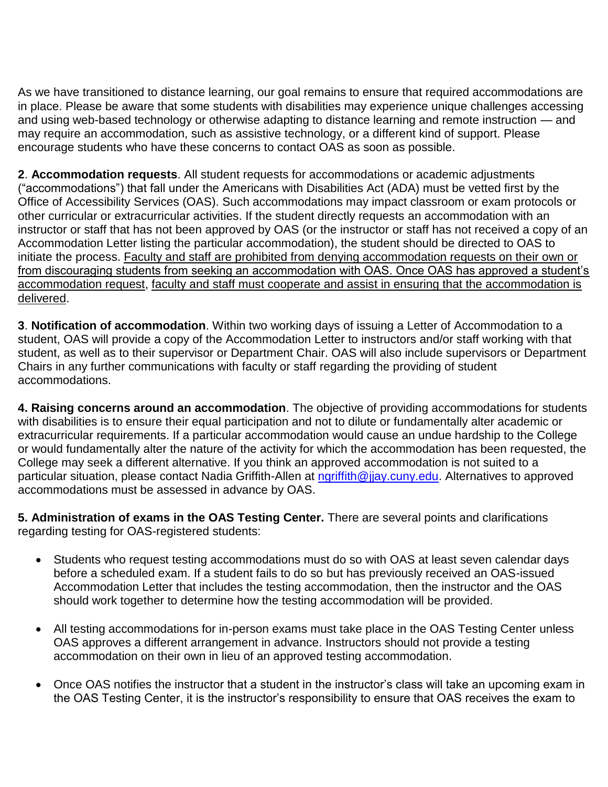As we have transitioned to distance learning, our goal remains to ensure that required accommodations are in place. Please be aware that some students with disabilities may experience unique challenges accessing and using web-based technology or otherwise adapting to distance learning and remote instruction — and may require an accommodation, such as assistive technology, or a different kind of support. Please encourage students who have these concerns to contact OAS as soon as possible.

**2**. **Accommodation requests**. All student requests for accommodations or academic adjustments ("accommodations") that fall under the Americans with Disabilities Act (ADA) must be vetted first by the Office of Accessibility Services (OAS). Such accommodations may impact classroom or exam protocols or other curricular or extracurricular activities. If the student directly requests an accommodation with an instructor or staff that has not been approved by OAS (or the instructor or staff has not received a copy of an Accommodation Letter listing the particular accommodation), the student should be directed to OAS to initiate the process. Faculty and staff are prohibited from denying accommodation requests on their own or from discouraging students from seeking an accommodation with OAS. Once OAS has approved a student's accommodation request, faculty and staff must cooperate and assist in ensuring that the accommodation is delivered.

**3**. **Notification of accommodation**. Within two working days of issuing a Letter of Accommodation to a student, OAS will provide a copy of the Accommodation Letter to instructors and/or staff working with that student, as well as to their supervisor or Department Chair. OAS will also include supervisors or Department Chairs in any further communications with faculty or staff regarding the providing of student accommodations.

**4. Raising concerns around an accommodation**. The objective of providing accommodations for students with disabilities is to ensure their equal participation and not to dilute or fundamentally alter academic or extracurricular requirements. If a particular accommodation would cause an undue hardship to the College or would fundamentally alter the nature of the activity for which the accommodation has been requested, the College may seek a different alternative. If you think an approved accommodation is not suited to a particular situation, please contact Nadia Griffith-Allen at [ngriffith@jjay.cuny.edu.](mailto:ngriffith@jjay.cuny.edu) Alternatives to approved accommodations must be assessed in advance by OAS.

**5. Administration of exams in the OAS Testing Center.** There are several points and clarifications regarding testing for OAS-registered students:

- Students who request testing accommodations must do so with OAS at least seven calendar days before a scheduled exam. If a student fails to do so but has previously received an OAS-issued Accommodation Letter that includes the testing accommodation, then the instructor and the OAS should work together to determine how the testing accommodation will be provided.
- All testing accommodations for in-person exams must take place in the OAS Testing Center unless OAS approves a different arrangement in advance. Instructors should not provide a testing accommodation on their own in lieu of an approved testing accommodation.
- Once OAS notifies the instructor that a student in the instructor's class will take an upcoming exam in the OAS Testing Center, it is the instructor's responsibility to ensure that OAS receives the exam to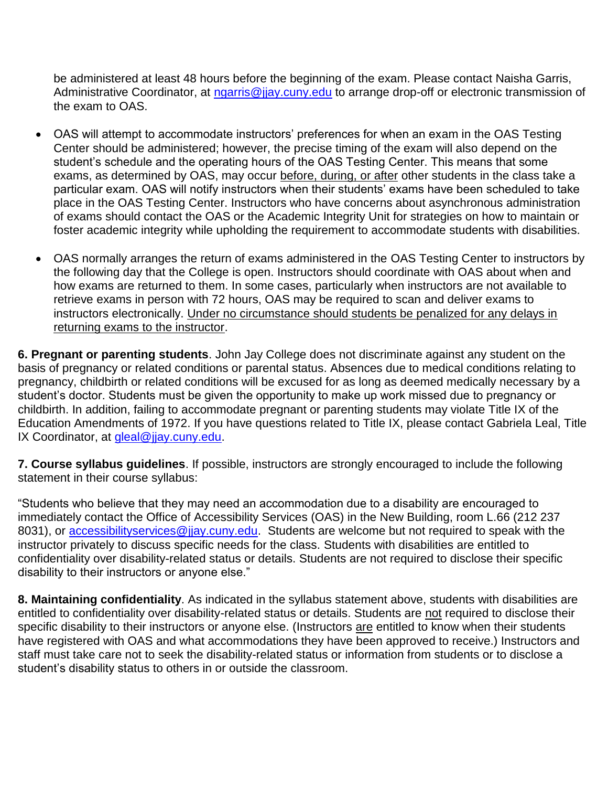be administered at least 48 hours before the beginning of the exam. Please contact Naisha Garris, Administrative Coordinator, at [ngarris@jjay.cuny.edu](mailto:ngarris@jjay.cuny.edu) to arrange drop-off or electronic transmission of the exam to OAS.

- OAS will attempt to accommodate instructors' preferences for when an exam in the OAS Testing Center should be administered; however, the precise timing of the exam will also depend on the student's schedule and the operating hours of the OAS Testing Center. This means that some exams, as determined by OAS, may occur before, during, or after other students in the class take a particular exam. OAS will notify instructors when their students' exams have been scheduled to take place in the OAS Testing Center. Instructors who have concerns about asynchronous administration of exams should contact the OAS or the Academic Integrity Unit for strategies on how to maintain or foster academic integrity while upholding the requirement to accommodate students with disabilities.
- OAS normally arranges the return of exams administered in the OAS Testing Center to instructors by the following day that the College is open. Instructors should coordinate with OAS about when and how exams are returned to them. In some cases, particularly when instructors are not available to retrieve exams in person with 72 hours, OAS may be required to scan and deliver exams to instructors electronically. Under no circumstance should students be penalized for any delays in returning exams to the instructor.

**6. Pregnant or parenting students**. John Jay College does not discriminate against any student on the basis of pregnancy or related conditions or parental status. Absences due to medical conditions relating to pregnancy, childbirth or related conditions will be excused for as long as deemed medically necessary by a student's doctor. Students must be given the opportunity to make up work missed due to pregnancy or childbirth. In addition, failing to accommodate pregnant or parenting students may violate Title IX of the Education Amendments of 1972. If you have questions related to Title IX, please contact Gabriela Leal, Title IX Coordinator, at *gleal@jjay.cuny.edu*.

**7. Course syllabus guidelines**. If possible, instructors are strongly encouraged to include the following statement in their course syllabus:

"Students who believe that they may need an accommodation due to a disability are encouraged to immediately contact the Office of Accessibility Services (OAS) in the New Building, room L.66 (212 237 8031), or [accessibilityservices@jjay.cuny.edu.](mailto:accessibilityservices@jjay.cuny.edu) Students are welcome but not required to speak with the instructor privately to discuss specific needs for the class. Students with disabilities are entitled to confidentiality over disability-related status or details. Students are not required to disclose their specific disability to their instructors or anyone else."

**8. Maintaining confidentiality**. As indicated in the syllabus statement above, students with disabilities are entitled to confidentiality over disability-related status or details. Students are not required to disclose their specific disability to their instructors or anyone else. (Instructors are entitled to know when their students have registered with OAS and what accommodations they have been approved to receive.) Instructors and staff must take care not to seek the disability-related status or information from students or to disclose a student's disability status to others in or outside the classroom.